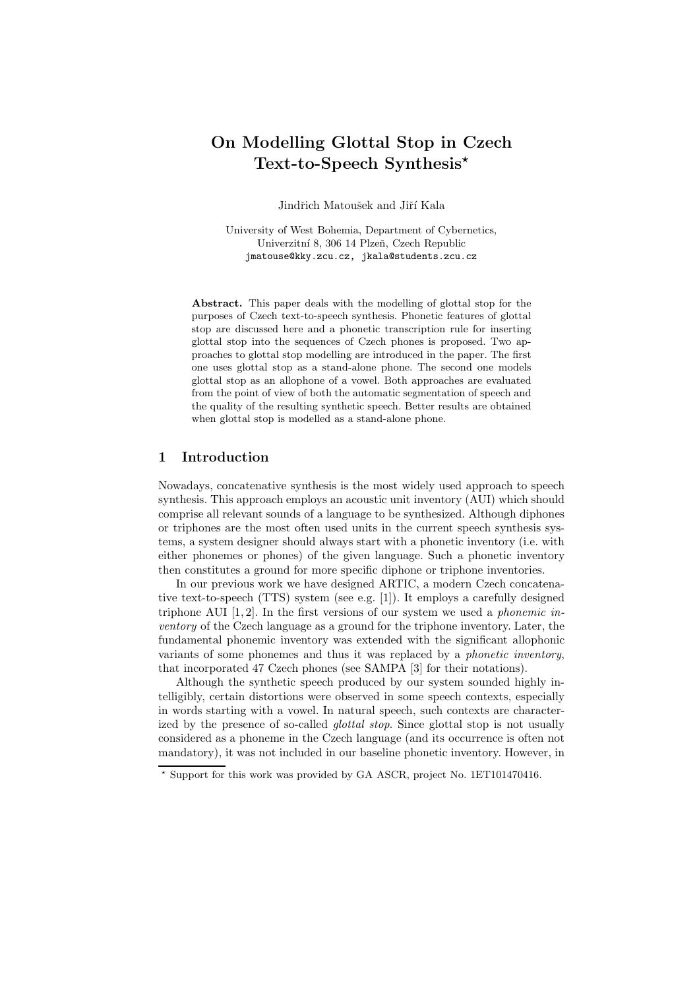# On Modelling Glottal Stop in Czech Text-to-Speech Synthesis<sup>\*</sup>

Jindřich Matoušek and Jiří Kala

University of West Bohemia, Department of Cybernetics, Univerzitní 8, 306 14 Plzeň, Czech Republic jmatouse@kky.zcu.cz, jkala@students.zcu.cz

Abstract. This paper deals with the modelling of glottal stop for the purposes of Czech text-to-speech synthesis. Phonetic features of glottal stop are discussed here and a phonetic transcription rule for inserting glottal stop into the sequences of Czech phones is proposed. Two approaches to glottal stop modelling are introduced in the paper. The first one uses glottal stop as a stand-alone phone. The second one models glottal stop as an allophone of a vowel. Both approaches are evaluated from the point of view of both the automatic segmentation of speech and the quality of the resulting synthetic speech. Better results are obtained when glottal stop is modelled as a stand-alone phone.

#### 1 Introduction

Nowadays, concatenative synthesis is the most widely used approach to speech synthesis. This approach employs an acoustic unit inventory (AUI) which should comprise all relevant sounds of a language to be synthesized. Although diphones or triphones are the most often used units in the current speech synthesis systems, a system designer should always start with a phonetic inventory (i.e. with either phonemes or phones) of the given language. Such a phonetic inventory then constitutes a ground for more specific diphone or triphone inventories.

In our previous work we have designed ARTIC, a modern Czech concatenative text-to-speech (TTS) system (see e.g. [1]). It employs a carefully designed triphone AUI  $[1, 2]$ . In the first versions of our system we used a *phonemic in*ventory of the Czech language as a ground for the triphone inventory. Later, the fundamental phonemic inventory was extended with the significant allophonic variants of some phonemes and thus it was replaced by a phonetic inventory, that incorporated 47 Czech phones (see SAMPA [3] for their notations).

Although the synthetic speech produced by our system sounded highly intelligibly, certain distortions were observed in some speech contexts, especially in words starting with a vowel. In natural speech, such contexts are characterized by the presence of so-called *glottal stop*. Since glottal stop is not usually considered as a phoneme in the Czech language (and its occurrence is often not mandatory), it was not included in our baseline phonetic inventory. However, in

<sup>⋆</sup> Support for this work was provided by GA ASCR, project No. 1ET101470416.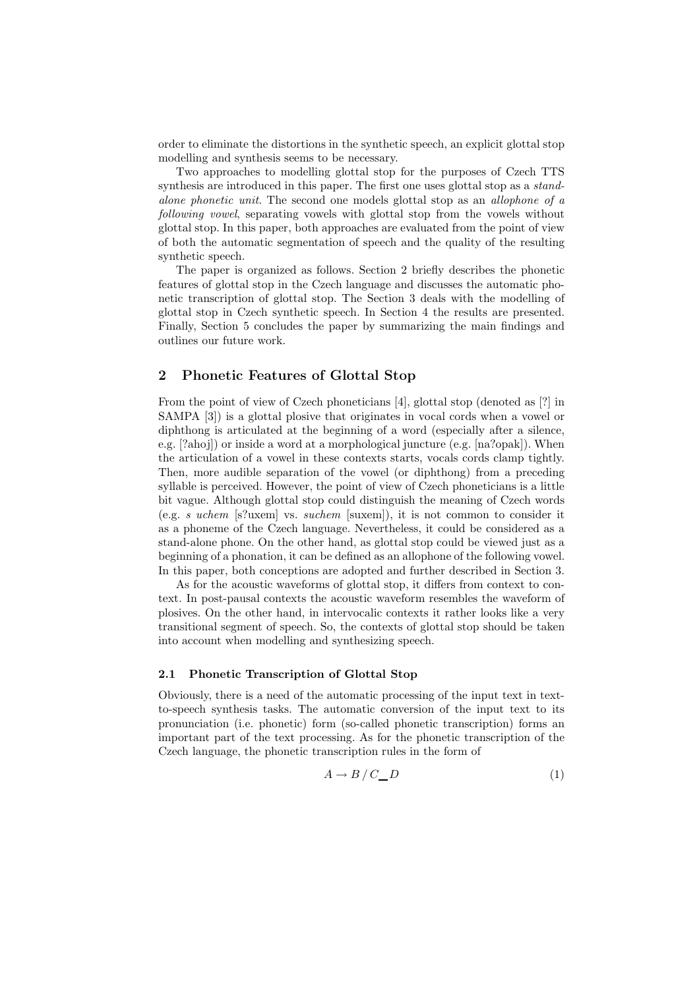order to eliminate the distortions in the synthetic speech, an explicit glottal stop modelling and synthesis seems to be necessary.

Two approaches to modelling glottal stop for the purposes of Czech TTS synthesis are introduced in this paper. The first one uses glottal stop as a *stand*alone phonetic unit. The second one models glottal stop as an allophone of a following vowel, separating vowels with glottal stop from the vowels without glottal stop. In this paper, both approaches are evaluated from the point of view of both the automatic segmentation of speech and the quality of the resulting synthetic speech.

The paper is organized as follows. Section 2 briefly describes the phonetic features of glottal stop in the Czech language and discusses the automatic phonetic transcription of glottal stop. The Section 3 deals with the modelling of glottal stop in Czech synthetic speech. In Section 4 the results are presented. Finally, Section 5 concludes the paper by summarizing the main findings and outlines our future work.

## 2 Phonetic Features of Glottal Stop

From the point of view of Czech phoneticians [4], glottal stop (denoted as [?] in SAMPA [3]) is a glottal plosive that originates in vocal cords when a vowel or diphthong is articulated at the beginning of a word (especially after a silence, e.g. [?ahoj]) or inside a word at a morphological juncture (e.g. [na?opak]). When the articulation of a vowel in these contexts starts, vocals cords clamp tightly. Then, more audible separation of the vowel (or diphthong) from a preceding syllable is perceived. However, the point of view of Czech phoneticians is a little bit vague. Although glottal stop could distinguish the meaning of Czech words (e.g. s uchem [s?uxem] vs. suchem [suxem]), it is not common to consider it as a phoneme of the Czech language. Nevertheless, it could be considered as a stand-alone phone. On the other hand, as glottal stop could be viewed just as a beginning of a phonation, it can be defined as an allophone of the following vowel. In this paper, both conceptions are adopted and further described in Section 3.

As for the acoustic waveforms of glottal stop, it differs from context to context. In post-pausal contexts the acoustic waveform resembles the waveform of plosives. On the other hand, in intervocalic contexts it rather looks like a very transitional segment of speech. So, the contexts of glottal stop should be taken into account when modelling and synthesizing speech.

#### 2.1 Phonetic Transcription of Glottal Stop

Obviously, there is a need of the automatic processing of the input text in textto-speech synthesis tasks. The automatic conversion of the input text to its pronunciation (i.e. phonetic) form (so-called phonetic transcription) forms an important part of the text processing. As for the phonetic transcription of the Czech language, the phonetic transcription rules in the form of

$$
A \to B/C\_D \tag{1}
$$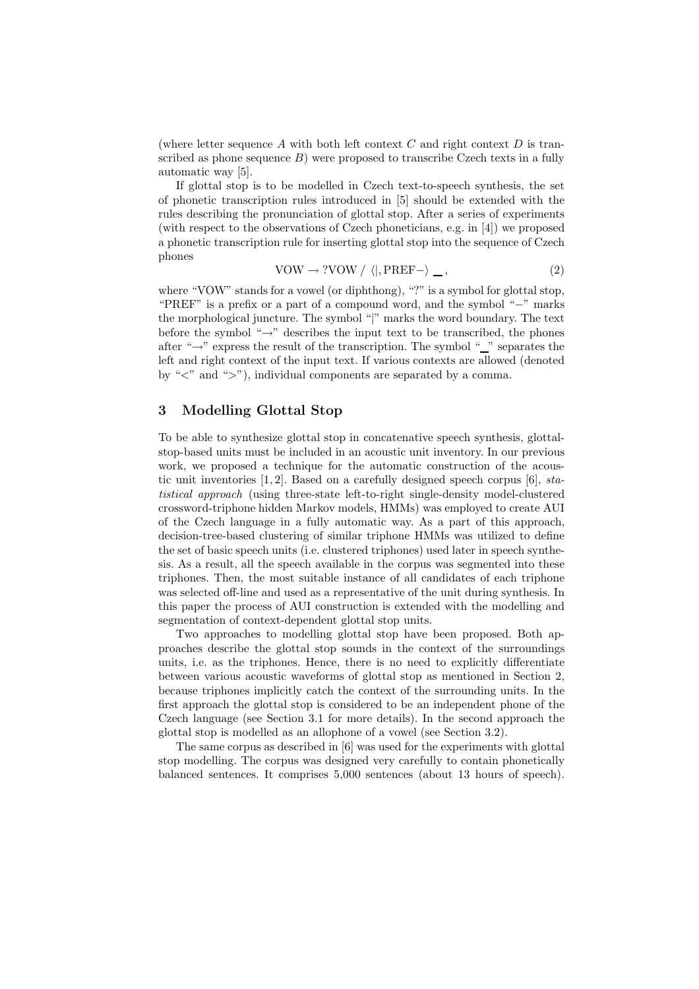(where letter sequence A with both left context  $C$  and right context  $D$  is transcribed as phone sequence  $B$ ) were proposed to transcribe Czech texts in a fully automatic way [5].

If glottal stop is to be modelled in Czech text-to-speech synthesis, the set of phonetic transcription rules introduced in [5] should be extended with the rules describing the pronunciation of glottal stop. After a series of experiments (with respect to the observations of Czech phoneticians, e.g. in [4]) we proposed a phonetic transcription rule for inserting glottal stop into the sequence of Czech phones

$$
VOW \to ?VOW / \langle |, PREF - \rangle \_ , \tag{2}
$$

where "VOW" stands for a vowel (or diphthong), "?" is a symbol for glottal stop, "PREF" is a prefix or a part of a compound word, and the symbol "−" marks the morphological juncture. The symbol "|" marks the word boundary. The text before the symbol " $\rightarrow$ " describes the input text to be transcribed, the phones after " $\rightarrow$ " express the result of the transcription. The symbol " $\cdots$ " separates the left and right context of the input text. If various contexts are allowed (denoted by " $\lt$ " and " $>$ "), individual components are separated by a comma.

### 3 Modelling Glottal Stop

To be able to synthesize glottal stop in concatenative speech synthesis, glottalstop-based units must be included in an acoustic unit inventory. In our previous work, we proposed a technique for the automatic construction of the acoustic unit inventories [1, 2]. Based on a carefully designed speech corpus [6], statistical approach (using three-state left-to-right single-density model-clustered crossword-triphone hidden Markov models, HMMs) was employed to create AUI of the Czech language in a fully automatic way. As a part of this approach, decision-tree-based clustering of similar triphone HMMs was utilized to define the set of basic speech units (i.e. clustered triphones) used later in speech synthesis. As a result, all the speech available in the corpus was segmented into these triphones. Then, the most suitable instance of all candidates of each triphone was selected off-line and used as a representative of the unit during synthesis. In this paper the process of AUI construction is extended with the modelling and segmentation of context-dependent glottal stop units.

Two approaches to modelling glottal stop have been proposed. Both approaches describe the glottal stop sounds in the context of the surroundings units, i.e. as the triphones. Hence, there is no need to explicitly differentiate between various acoustic waveforms of glottal stop as mentioned in Section 2, because triphones implicitly catch the context of the surrounding units. In the first approach the glottal stop is considered to be an independent phone of the Czech language (see Section 3.1 for more details). In the second approach the glottal stop is modelled as an allophone of a vowel (see Section 3.2).

The same corpus as described in [6] was used for the experiments with glottal stop modelling. The corpus was designed very carefully to contain phonetically balanced sentences. It comprises 5,000 sentences (about 13 hours of speech).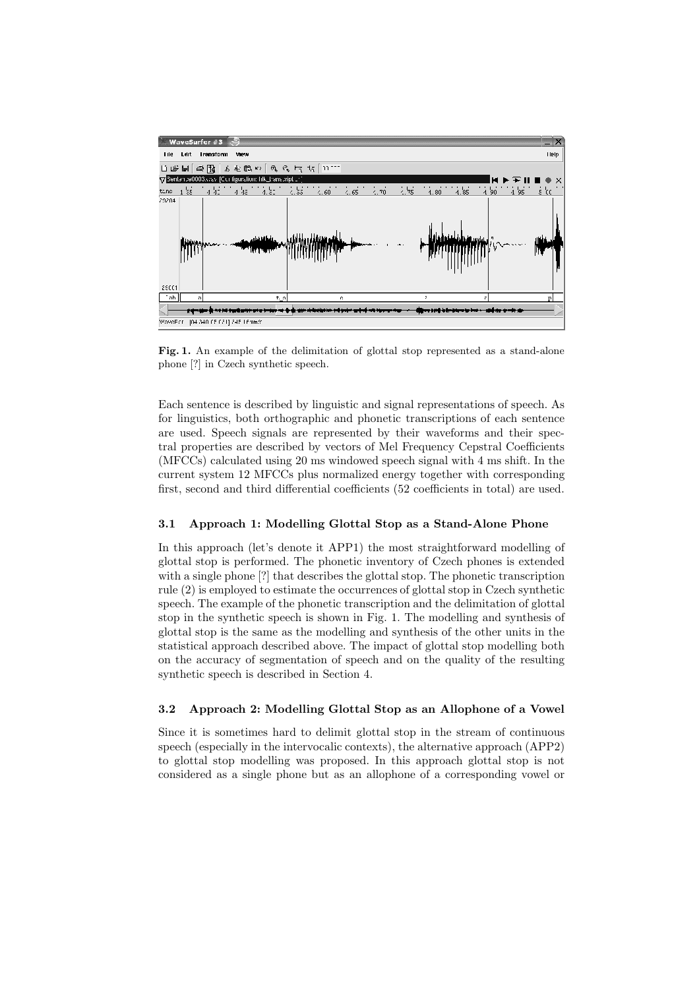

Fig. 1. An example of the delimitation of glottal stop represented as a stand-alone phone [?] in Czech synthetic speech.

Each sentence is described by linguistic and signal representations of speech. As for linguistics, both orthographic and phonetic transcriptions of each sentence are used. Speech signals are represented by their waveforms and their spectral properties are described by vectors of Mel Frequency Cepstral Coefficients (MFCCs) calculated using 20 ms windowed speech signal with 4 ms shift. In the current system 12 MFCCs plus normalized energy together with corresponding first, second and third differential coefficients (52 coefficients in total) are used.

#### 3.1 Approach 1: Modelling Glottal Stop as a Stand-Alone Phone

In this approach (let's denote it APP1) the most straightforward modelling of glottal stop is performed. The phonetic inventory of Czech phones is extended with a single phone [?] that describes the glottal stop. The phonetic transcription rule (2) is employed to estimate the occurrences of glottal stop in Czech synthetic speech. The example of the phonetic transcription and the delimitation of glottal stop in the synthetic speech is shown in Fig. 1. The modelling and synthesis of glottal stop is the same as the modelling and synthesis of the other units in the statistical approach described above. The impact of glottal stop modelling both on the accuracy of segmentation of speech and on the quality of the resulting synthetic speech is described in Section 4.

#### 3.2 Approach 2: Modelling Glottal Stop as an Allophone of a Vowel

Since it is sometimes hard to delimit glottal stop in the stream of continuous speech (especially in the intervocalic contexts), the alternative approach (APP2) to glottal stop modelling was proposed. In this approach glottal stop is not considered as a single phone but as an allophone of a corresponding vowel or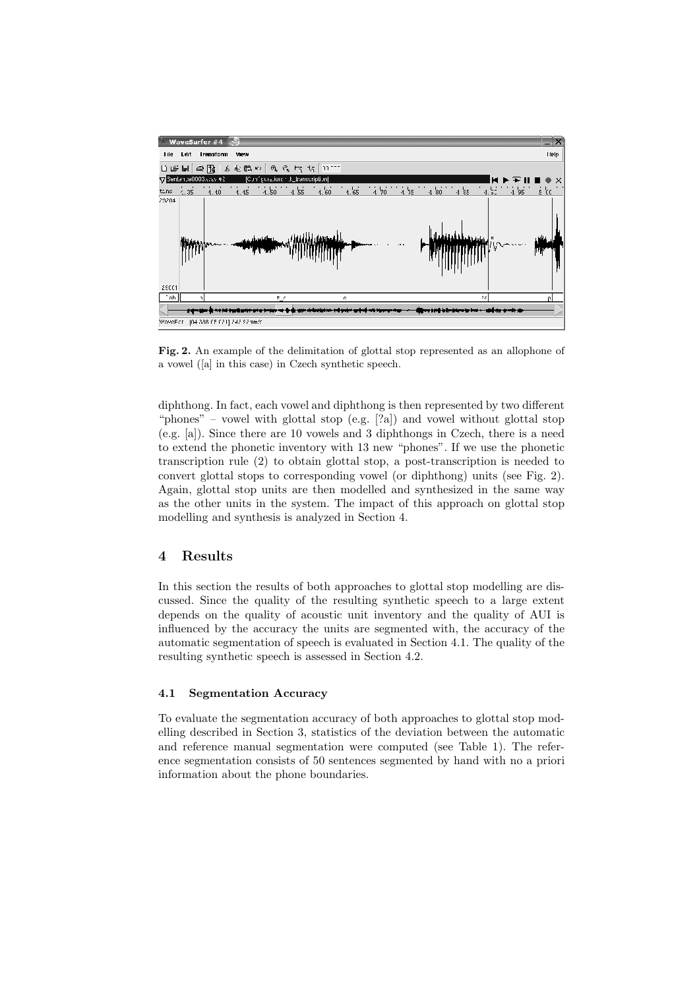

Fig. 2. An example of the delimitation of glottal stop represented as an allophone of a vowel ([a] in this case) in Czech synthetic speech.

diphthong. In fact, each vowel and diphthong is then represented by two different "phones" – vowel with glottal stop (e.g. [?a]) and vowel without glottal stop (e.g. [a]). Since there are 10 vowels and 3 diphthongs in Czech, there is a need to extend the phonetic inventory with 13 new "phones". If we use the phonetic transcription rule (2) to obtain glottal stop, a post-transcription is needed to convert glottal stops to corresponding vowel (or diphthong) units (see Fig. 2). Again, glottal stop units are then modelled and synthesized in the same way as the other units in the system. The impact of this approach on glottal stop modelling and synthesis is analyzed in Section 4.

# 4 Results

In this section the results of both approaches to glottal stop modelling are discussed. Since the quality of the resulting synthetic speech to a large extent depends on the quality of acoustic unit inventory and the quality of AUI is influenced by the accuracy the units are segmented with, the accuracy of the automatic segmentation of speech is evaluated in Section 4.1. The quality of the resulting synthetic speech is assessed in Section 4.2.

#### 4.1 Segmentation Accuracy

To evaluate the segmentation accuracy of both approaches to glottal stop modelling described in Section 3, statistics of the deviation between the automatic and reference manual segmentation were computed (see Table 1). The reference segmentation consists of 50 sentences segmented by hand with no a priori information about the phone boundaries.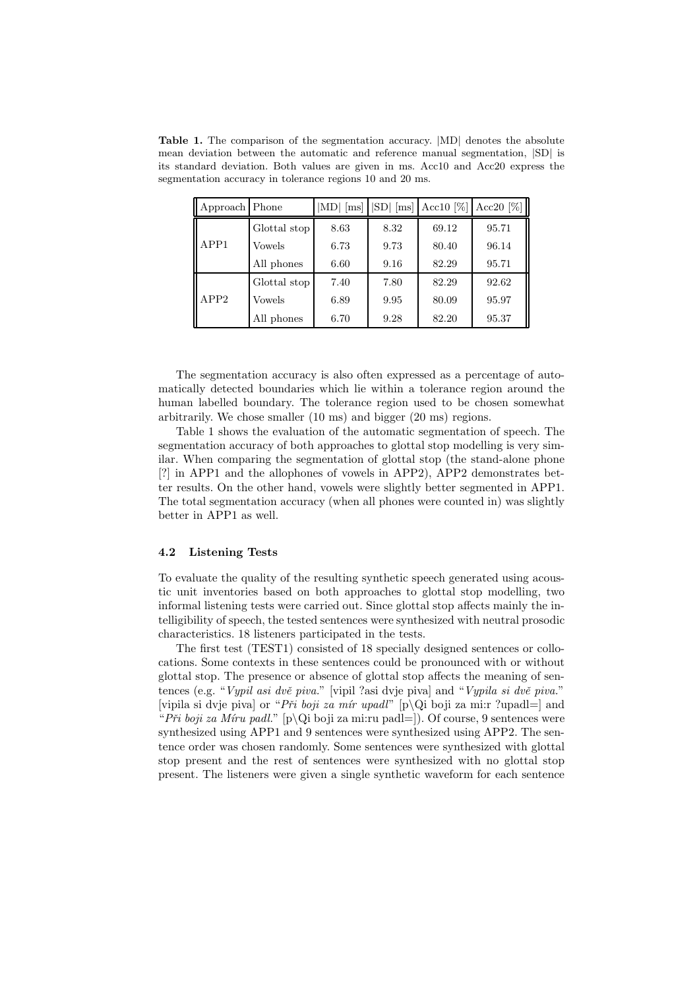| Approach Phone |              |      | $ MD $ $[ms]$ $ SD $ $[ms]$ | Acc10 $[\%]$ | Acc20 $\lbrack\%]\rbrack$ |
|----------------|--------------|------|-----------------------------|--------------|---------------------------|
| APP1           | Glottal stop | 8.63 | 8.32                        | 69.12        | 95.71                     |
|                | Vowels       | 6.73 | 9.73                        | 80.40        | 96.14                     |
|                | All phones   | 6.60 | 9.16                        | 82.29        | 95.71                     |
| APP2           | Glottal stop | 7.40 | 7.80                        | 82.29        | 92.62                     |
|                | Vowels       | 6.89 | 9.95                        | 80.09        | 95.97                     |
|                | All phones   | 6.70 | 9.28                        | 82.20        | 95.37                     |

Table 1. The comparison of the segmentation accuracy. |MD| denotes the absolute mean deviation between the automatic and reference manual segmentation, |SD| is its standard deviation. Both values are given in ms. Acc10 and Acc20 express the segmentation accuracy in tolerance regions 10 and 20 ms.

The segmentation accuracy is also often expressed as a percentage of automatically detected boundaries which lie within a tolerance region around the human labelled boundary. The tolerance region used to be chosen somewhat arbitrarily. We chose smaller (10 ms) and bigger (20 ms) regions.

Table 1 shows the evaluation of the automatic segmentation of speech. The segmentation accuracy of both approaches to glottal stop modelling is very similar. When comparing the segmentation of glottal stop (the stand-alone phone [?] in APP1 and the allophones of vowels in APP2), APP2 demonstrates better results. On the other hand, vowels were slightly better segmented in APP1. The total segmentation accuracy (when all phones were counted in) was slightly better in APP1 as well.

#### 4.2 Listening Tests

To evaluate the quality of the resulting synthetic speech generated using acoustic unit inventories based on both approaches to glottal stop modelling, two informal listening tests were carried out. Since glottal stop affects mainly the intelligibility of speech, the tested sentences were synthesized with neutral prosodic characteristics. 18 listeners participated in the tests.

The first test (TEST1) consisted of 18 specially designed sentences or collocations. Some contexts in these sentences could be pronounced with or without glottal stop. The presence or absence of glottal stop affects the meaning of sentences (e.g. "Vypil asi dvě piva." [vipil ?asi dvje piva] and "Vypila si dvě piva." [vipila si dvje piva] or "*Při boji za mír upadl*" [p $\Omega$ i boji za mi:r ?upadl=] and "Při boji za Míru padl." [p $\Q$ i boji za mi:ru padl=]). Of course, 9 sentences were synthesized using APP1 and 9 sentences were synthesized using APP2. The sentence order was chosen randomly. Some sentences were synthesized with glottal stop present and the rest of sentences were synthesized with no glottal stop present. The listeners were given a single synthetic waveform for each sentence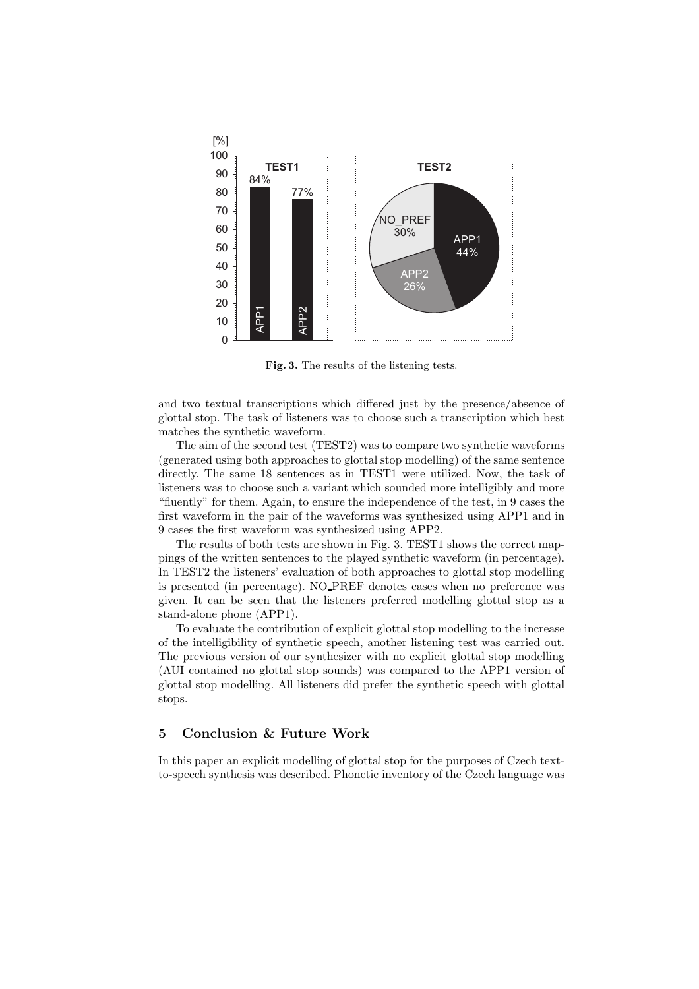

Fig. 3. The results of the listening tests.

and two textual transcriptions which differed just by the presence/absence of glottal stop. The task of listeners was to choose such a transcription which best matches the synthetic waveform.

The aim of the second test (TEST2) was to compare two synthetic waveforms (generated using both approaches to glottal stop modelling) of the same sentence directly. The same 18 sentences as in TEST1 were utilized. Now, the task of listeners was to choose such a variant which sounded more intelligibly and more "fluently" for them. Again, to ensure the independence of the test, in 9 cases the first waveform in the pair of the waveforms was synthesized using APP1 and in 9 cases the first waveform was synthesized using APP2.

The results of both tests are shown in Fig. 3. TEST1 shows the correct mappings of the written sentences to the played synthetic waveform (in percentage). In TEST2 the listeners' evaluation of both approaches to glottal stop modelling is presented (in percentage). NO PREF denotes cases when no preference was given. It can be seen that the listeners preferred modelling glottal stop as a stand-alone phone (APP1).

To evaluate the contribution of explicit glottal stop modelling to the increase of the intelligibility of synthetic speech, another listening test was carried out. The previous version of our synthesizer with no explicit glottal stop modelling (AUI contained no glottal stop sounds) was compared to the APP1 version of glottal stop modelling. All listeners did prefer the synthetic speech with glottal stops.

# 5 Conclusion & Future Work

In this paper an explicit modelling of glottal stop for the purposes of Czech textto-speech synthesis was described. Phonetic inventory of the Czech language was